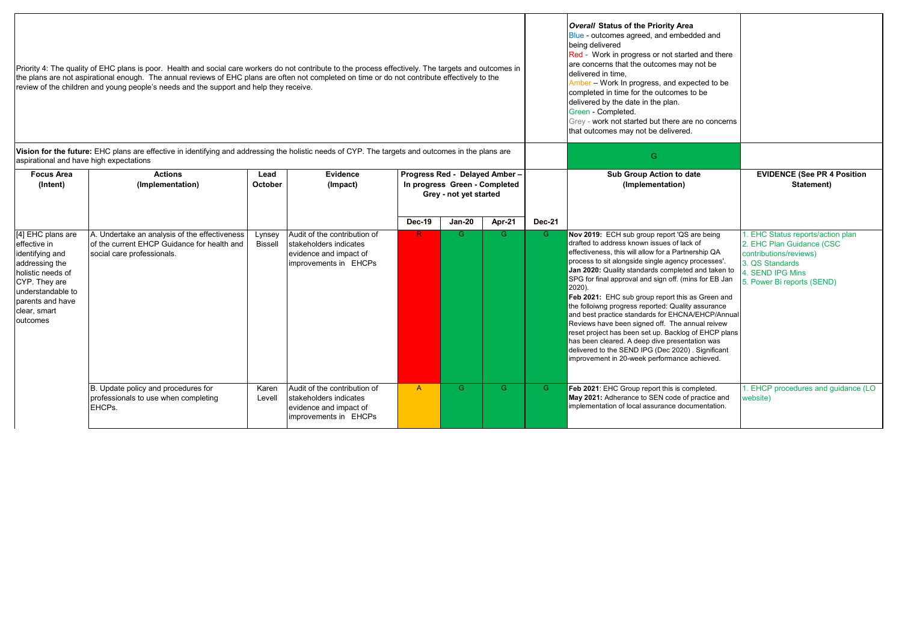| Priority 4: The quality of EHC plans is poor. Health and social care workers do not contribute to the process effectively. The targets and outcomes in<br>the plans are not aspirational enough. The annual reviews of EHC plans are often not completed on time or do not contribute effectively to the<br>review of the children and young people's needs and the support and help they receive. |                                                                                                                                                   |                   |                                                                                                           |                                                                                           |               |        |               | Overall Status of the Priority Area<br>Blue - outcomes agreed, and embedded and<br>being delivered<br>Red - Work in progress or not started and there<br>are concerns that the outcomes may not be<br>delivered in time.<br>Amber - Work In progress, and expected to be<br>completed in time for the outcomes to be<br>delivered by the date in the plan.<br>Green - Completed.<br>Grey - work not started but there are no concerns<br>that outcomes may not be delivered.                                                                                                                                                                                                                                                                                      |                                                                                                                                                               |
|----------------------------------------------------------------------------------------------------------------------------------------------------------------------------------------------------------------------------------------------------------------------------------------------------------------------------------------------------------------------------------------------------|---------------------------------------------------------------------------------------------------------------------------------------------------|-------------------|-----------------------------------------------------------------------------------------------------------|-------------------------------------------------------------------------------------------|---------------|--------|---------------|-------------------------------------------------------------------------------------------------------------------------------------------------------------------------------------------------------------------------------------------------------------------------------------------------------------------------------------------------------------------------------------------------------------------------------------------------------------------------------------------------------------------------------------------------------------------------------------------------------------------------------------------------------------------------------------------------------------------------------------------------------------------|---------------------------------------------------------------------------------------------------------------------------------------------------------------|
| aspirational and have high expectations                                                                                                                                                                                                                                                                                                                                                            | Vision for the future: EHC plans are effective in identifying and addressing the holistic needs of CYP. The targets and outcomes in the plans are |                   |                                                                                                           |                                                                                           |               |        |               | G                                                                                                                                                                                                                                                                                                                                                                                                                                                                                                                                                                                                                                                                                                                                                                 |                                                                                                                                                               |
| <b>Focus Area</b><br>(Intent)                                                                                                                                                                                                                                                                                                                                                                      | <b>Actions</b><br>(Implementation)                                                                                                                | Lead<br>October   | Evidence<br>(Impact)                                                                                      | Progress Red - Delayed Amber -<br>In progress Green - Completed<br>Grey - not yet started |               |        |               | Sub Group Action to date<br>(Implementation)                                                                                                                                                                                                                                                                                                                                                                                                                                                                                                                                                                                                                                                                                                                      | <b>EVIDENCE (See PR 4 Position</b><br>Statement)                                                                                                              |
|                                                                                                                                                                                                                                                                                                                                                                                                    |                                                                                                                                                   |                   |                                                                                                           | <b>Dec-19</b>                                                                             | <b>Jan-20</b> | Apr-21 | <b>Dec-21</b> |                                                                                                                                                                                                                                                                                                                                                                                                                                                                                                                                                                                                                                                                                                                                                                   |                                                                                                                                                               |
| [4] EHC plans are<br>effective in<br>identifying and<br>addressing the<br>holistic needs of<br>CYP. They are<br>understandable to<br>parents and have<br>clear, smart<br>outcomes                                                                                                                                                                                                                  | A. Undertake an analysis of the effectiveness<br>of the current EHCP Guidance for health and<br>social care professionals.                        | Lynsey<br>Bissell | Audit of the contribution of<br>stakeholders indicates<br>evidence and impact of<br>improvements in EHCPs | $\mathbb{R}$                                                                              | G             | G      | G.            | Nov 2019: ECH sub group report 'QS are being<br>drafted to address known issues of lack of<br>effectiveness, this will allow for a Partnership QA<br>process to sit alongside single agency processes'.<br>Jan 2020: Quality standards completed and taken to<br>SPG for final approval and sign off. (mins for EB Jan<br>2020).<br>Feb 2021: EHC sub group report this as Green and<br>the folloiwng progress reported: Quality assurance<br>and best practice standards for EHCNA/EHCP/Annual<br>Reviews have been signed off. The annual reivew<br>reset project has been set up. Backlog of EHCP plans<br>has been cleared. A deep dive presentation was<br>delivered to the SEND IPG (Dec 2020). Significant<br>improvement in 20-week performance achieved. | 1. EHC Status reports/action plan<br>2. EHC Plan Guidance (CSC<br>contributions/reviews)<br>3. OS Standards<br>4. SEND IPG Mins<br>5. Power Bi reports (SEND) |
|                                                                                                                                                                                                                                                                                                                                                                                                    | B. Update policy and procedures for<br>professionals to use when completing<br>EHCPs.                                                             | Karen<br>Levell   | Audit of the contribution of<br>stakeholders indicates<br>evidence and impact of<br>improvements in EHCPs | $\mathsf{A}$                                                                              | G             | G.     | G.            | Feb 2021: EHC Group report this is completed.<br>May 2021: Adherance to SEN code of practice and<br>implementation of local assurance documentation.                                                                                                                                                                                                                                                                                                                                                                                                                                                                                                                                                                                                              | 1. EHCP procedures and guidance (LO<br>website)                                                                                                               |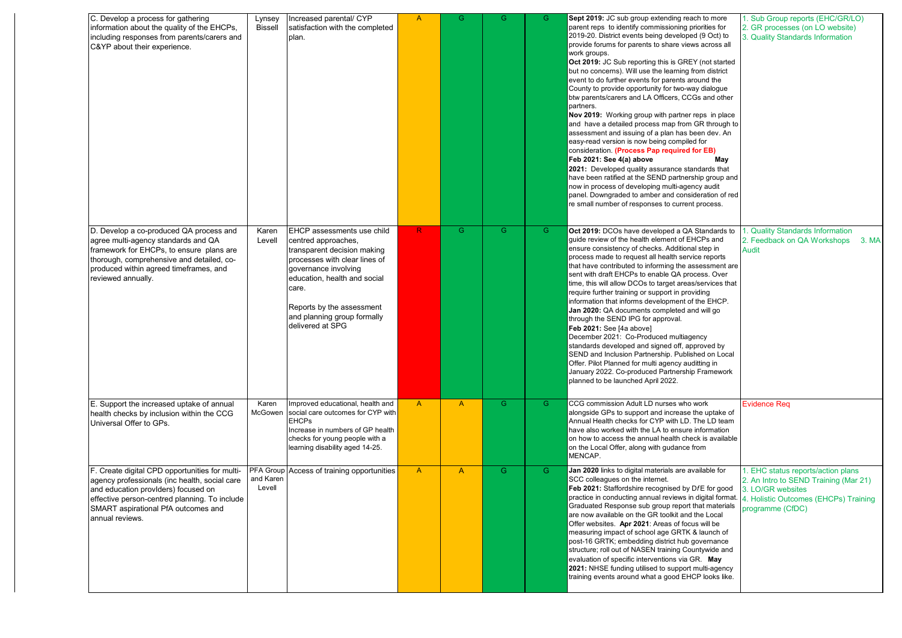| C. Develop a process for gathering<br>information about the quality of the EHCPs,<br>including responses from parents/carers and<br>C&YP about their experience.                                                                                  | Lynsey<br><b>Bissell</b> | Increased parental/ CYP<br>satisfaction with the completed<br>plan.                                                                                                                                                                                                | $\overline{A}$ | G            | G  | G. | Sept 2019: JC sub group extending reach to more<br>parent reps to identify commissioning priorities for<br>2019-20. District events being developed (9 Oct) to<br>provide forums for parents to share views across all<br>work groups.<br>Oct 2019: JC Sub reporting this is GREY (not started<br>but no concerns). Will use the learning from district<br>event to do further events for parents around the<br>County to provide opportunity for two-way dialogue<br>btw parents/carers and LA Officers, CCGs and other<br>partners.<br>Nov 2019: Working group with partner reps in place<br>and have a detailed process map from GR through to<br>assessment and issuing of a plan has been dev. An<br>easy-read version is now being compiled for<br>consideration. (Process Pap required for EB)<br>Feb 2021: See 4(a) above<br>May<br>2021: Developed quality assurance standards that<br>have been ratified at the SEND partnership group and<br>now in process of developing multi-agency audit<br>panel. Downgraded to amber and consideration of red<br>re small number of responses to current process. | Sub Group reports (EHC/GR/LO)<br>2. GR processes (on LO website)<br>3. Quality Standards Information                                                       |
|---------------------------------------------------------------------------------------------------------------------------------------------------------------------------------------------------------------------------------------------------|--------------------------|--------------------------------------------------------------------------------------------------------------------------------------------------------------------------------------------------------------------------------------------------------------------|----------------|--------------|----|----|--------------------------------------------------------------------------------------------------------------------------------------------------------------------------------------------------------------------------------------------------------------------------------------------------------------------------------------------------------------------------------------------------------------------------------------------------------------------------------------------------------------------------------------------------------------------------------------------------------------------------------------------------------------------------------------------------------------------------------------------------------------------------------------------------------------------------------------------------------------------------------------------------------------------------------------------------------------------------------------------------------------------------------------------------------------------------------------------------------------------|------------------------------------------------------------------------------------------------------------------------------------------------------------|
| D. Develop a co-produced QA process and<br>agree multi-agency standards and QA<br>framework for EHCPs, to ensure plans are<br>thorough, comprehensive and detailed, co-<br>produced within agreed timeframes, and<br>reviewed annually.           | Karen<br>Levell          | EHCP assessments use child<br>centred approaches,<br>transparent decision making<br>processes with clear lines of<br>governance involving<br>education, health and social<br>care.<br>Reports by the assessment<br>and planning group formally<br>delivered at SPG | R              | G.           | G. | G. | Oct 2019: DCOs have developed a QA Standards to<br>quide review of the health element of EHCPs and<br>ensure consistency of checks. Additional step in<br>process made to request all health service reports<br>that have contributed to informing the assessment are<br>sent with draft EHCPs to enable QA process. Over<br>time, this will allow DCOs to target areas/services that<br>require further training or support in providing<br>information that informs development of the EHCP.<br>Jan 2020: QA documents completed and will go<br>through the SEND IPG for approval.<br>Feb 2021: See [4a above]<br>December 2021: Co-Produced multiagency<br>standards developed and signed off, approved by<br>SEND and Inclusion Partnership. Published on Local<br>Offer. Pilot Planned for multi agency auditting in<br>January 2022. Co-produced Partnership Framework<br>planned to be launched April 2022.                                                                                                                                                                                                 | . Quality Standards Information<br>2. Feedback on QA Workshops 3. MA<br><b>Audit</b>                                                                       |
| E. Support the increased uptake of annual<br>health checks by inclusion within the CCG<br>Universal Offer to GPs.                                                                                                                                 | Karen<br>McGowen         | Improved educational, health and<br>social care outcomes for CYP with<br><b>EHCPs</b><br>Increase in numbers of GP health<br>checks for young people with a<br>learning disability aged 14-25.                                                                     | $\mathsf{A}$   | $\mathsf{A}$ | G. | G. | CCG commission Adult LD nurses who work<br>alongside GPs to support and increase the uptake of<br>Annual Health checks for CYP with LD. The LD team<br>have also worked with the LA to ensure information<br>on how to access the annual health check is available<br>on the Local Offer, along with gudance from<br>MENCAP.                                                                                                                                                                                                                                                                                                                                                                                                                                                                                                                                                                                                                                                                                                                                                                                       | Evidence Req                                                                                                                                               |
| F. Create digital CPD opportunities for multi-<br>agency professionals (inc health, social care<br>and education providers) focused on<br>effective person-centred planning. To include<br>SMART aspirational PfA outcomes and<br>annual reviews. | and Karen<br>Levell      | <b>PFA Group Access of training opportunities</b>                                                                                                                                                                                                                  | $\mathsf{A}$   | $\mathsf{A}$ | G. | G. | Jan 2020 links to digital materials are available for<br>SCC colleagues on the internet.<br>Feb 2021: Staffordshire recognised by DfE for good<br>practice in conducting annual reviews in digital format.<br>Graduated Response sub group report that materials<br>are now available on the GR toolkit and the Local<br>Offer websites. Apr 2021: Areas of focus will be<br>measuring impact of school age GRTK & launch of<br>post-16 GRTK; embedding district hub governance<br>structure; roll out of NASEN training Countywide and<br>evaluation of specific interventions via GR. May<br>2021: NHSE funding utilised to support multi-agency<br>training events around what a good EHCP looks like.                                                                                                                                                                                                                                                                                                                                                                                                          | EHC status reports/action plans<br>2. An Intro to SEND Training (Mar 21)<br>3. LO/GR websites<br>4. Holistic Outcomes (EHCPs) Training<br>programme (CfDC) |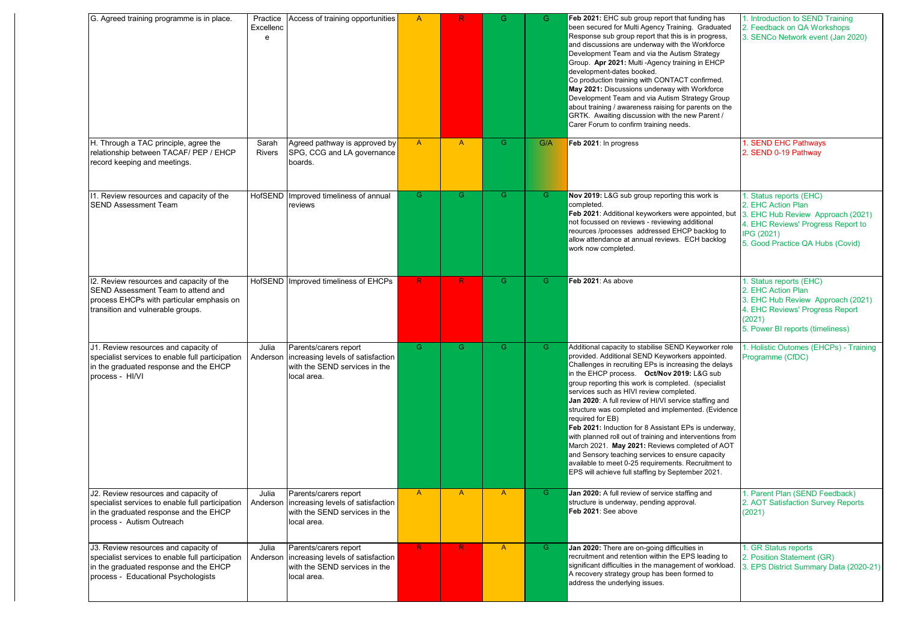| G. Agreed training programme is in place.                                                                                                                                 | Practice<br>Excellenc<br>e | Access of training opportunities                                                                                      | $\mathsf{A}$ | R.             | G.           | G   | Feb 2021: EHC sub group report that funding has<br>been secured for Multi Agency Training. Graduated<br>Response sub group report that this is in progress,<br>and discussions are underway with the Workforce<br>Development Team and via the Autism Strategy<br>Group. Apr 2021: Multi-Agency training in EHCP<br>development-dates booked.<br>Co production training with CONTACT confirmed.<br>May 2021: Discussions underway with Workforce<br>Development Team and via Autism Strategy Group<br>about training / awareness raising for parents on the<br>GRTK. Awaiting discussion with the new Parent /<br>Carer Forum to confirm training needs.                                                                                                                                  | 1. Introduction to SEND Training<br>2. Feedback on QA Workshops<br>3. SENCo Network event (Jan 2020)                                                                |
|---------------------------------------------------------------------------------------------------------------------------------------------------------------------------|----------------------------|-----------------------------------------------------------------------------------------------------------------------|--------------|----------------|--------------|-----|-------------------------------------------------------------------------------------------------------------------------------------------------------------------------------------------------------------------------------------------------------------------------------------------------------------------------------------------------------------------------------------------------------------------------------------------------------------------------------------------------------------------------------------------------------------------------------------------------------------------------------------------------------------------------------------------------------------------------------------------------------------------------------------------|---------------------------------------------------------------------------------------------------------------------------------------------------------------------|
| H. Through a TAC principle, agree the<br>relationship between TACAF/ PEP / EHCP<br>record keeping and meetings.                                                           | Sarah<br>Rivers            | Agreed pathway is approved by<br>SPG, CCG and LA governance<br>boards.                                                | $\mathsf{A}$ | $\overline{A}$ | G.           | G/A | Feb 2021: In progress                                                                                                                                                                                                                                                                                                                                                                                                                                                                                                                                                                                                                                                                                                                                                                     | 1. SEND EHC Pathways<br>2. SEND 0-19 Pathway                                                                                                                        |
| 11. Review resources and capacity of the<br><b>SEND Assessment Team</b>                                                                                                   |                            | HofSEND Improved timeliness of annual<br>reviews                                                                      | G            | G.             | G.           | G   | Nov 2019: L&G sub group reporting this work is<br>completed.<br>Feb 2021: Additional keyworkers were appointed, but $3.$ EHC Hub Review Approach (2021)<br>not focussed on reviews - reviewing additional<br>reources /processes addressed EHCP backlog to<br>allow attendance at annual reviews. ECH backlog<br>work now completed.                                                                                                                                                                                                                                                                                                                                                                                                                                                      | 1. Status reports (EHC)<br>2. EHC Action Plan<br>4. EHC Reviews' Progress Report to<br>IPG (2021)<br>5. Good Practice QA Hubs (Covid)                               |
| 12. Review resources and capacity of the<br>SEND Assessment Team to attend and<br>process EHCPs with particular emphasis on<br>transition and vulnerable groups.          |                            | HofSEND Improved timeliness of EHCPs                                                                                  | $\mathsf{R}$ | R.             | G            | G   | Feb 2021: As above                                                                                                                                                                                                                                                                                                                                                                                                                                                                                                                                                                                                                                                                                                                                                                        | 1. Status reports (EHC)<br>2. EHC Action Plan<br>3. EHC Hub Review Approach (2021)<br>4. EHC Reviews' Progress Report<br>(2021)<br>5. Power BI reports (timeliness) |
| J1. Review resources and capacity of<br>specialist services to enable full participation<br>in the graduated response and the EHCP<br>process - HI/VI                     | Julia<br>Anderson          | Parents/carers report<br>increasing levels of satisfaction<br>with the SEND services in the<br>local area.            | G.           | G.             | G.           | G.  | Additional capacity to stabilise SEND Keyworker role<br>provided. Additional SEND Keyworkers appointed.<br>Challenges in recruiting EPs is increasing the delays<br>in the EHCP process. Oct/Nov 2019: L&G sub<br>group reporting this work is completed. (specialist<br>services such as HIVI review completed.<br>Jan 2020: A full review of HI/VI service staffing and<br>structure was completed and implemented. (Evidence<br>required for EB)<br>Feb 2021: Induction for 8 Assistant EPs is underway,<br>with planned roll out of training and interventions from<br>March 2021. May 2021: Reviews completed of AOT<br>and Sensory teaching services to ensure capacity<br>available to meet 0-25 requirements. Recruitment to<br>EPS will achieve full staffing by September 2021. | 1. Holistic Outomes (EHCPs) - Training<br>Programme (CfDC)                                                                                                          |
| J2. Review resources and capacity of<br>specialist services to enable full participation<br>in the graduated response and the EHCP<br>process - Autism Outreach           | Julia                      | Parents/carers report<br>Anderson   increasing levels of satisfaction<br>with the SEND services in the<br>local area. | $\mathsf{A}$ | $\mathsf{A}$   | A            | G.  | Jan 2020: A full review of service staffing and<br>structure is underway, pending approval.<br>Feb 2021: See above                                                                                                                                                                                                                                                                                                                                                                                                                                                                                                                                                                                                                                                                        | 1. Parent Plan (SEND Feedback)<br>2. AOT Satisfaction Survey Reports<br>(2021)                                                                                      |
| J3. Review resources and capacity of<br>specialist services to enable full participation<br>in the graduated response and the EHCP<br>process - Educational Psychologists | Julia<br>Anderson          | Parents/carers report<br>increasing levels of satisfaction<br>with the SEND services in the<br>local area.            | $\mathsf{R}$ | R              | $\mathsf{A}$ | G   | Jan 2020: There are on-going difficulties in<br>recruitment and retention within the EPS leading to<br>significant difficulties in the management of workload.<br>A recovery strategy group has been formed to<br>address the underlying issues.                                                                                                                                                                                                                                                                                                                                                                                                                                                                                                                                          | 1. GR Status reports<br>2. Position Statement (GR)<br>3. EPS District Summary Data (2020-21)                                                                        |